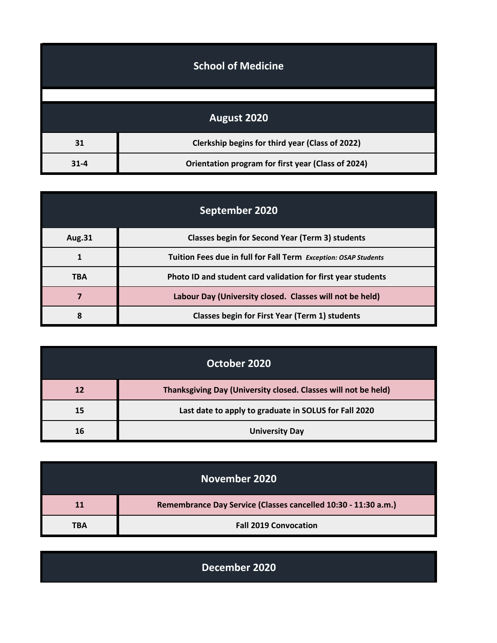| <b>School of Medicine</b> |                                                    |
|---------------------------|----------------------------------------------------|
|                           |                                                    |
|                           | August 2020                                        |
| 31                        | Clerkship begins for third year (Class of 2022)    |
| $31 - 4$                  | Orientation program for first year (Class of 2024) |

| September 2020 |                                                                 |
|----------------|-----------------------------------------------------------------|
| <b>Aug.31</b>  | <b>Classes begin for Second Year (Term 3) students</b>          |
|                | Tuition Fees due in full for Fall Term Exception: OSAP Students |
| <b>TBA</b>     | Photo ID and student card validation for first year students    |
|                | Labour Day (University closed. Classes will not be held)        |
| ጸ              | Classes begin for First Year (Term 1) students                  |

| October 2020 |                                                                |
|--------------|----------------------------------------------------------------|
| 12           | Thanksgiving Day (University closed. Classes will not be held) |
| 15           | Last date to apply to graduate in SOLUS for Fall 2020          |
| 16           | <b>University Day</b>                                          |

| November 2020 |                                                                |
|---------------|----------------------------------------------------------------|
| 11            | Remembrance Day Service (Classes cancelled 10:30 - 11:30 a.m.) |
| TBA           | <b>Fall 2019 Convocation</b>                                   |

| December 2020 |  |
|---------------|--|
|               |  |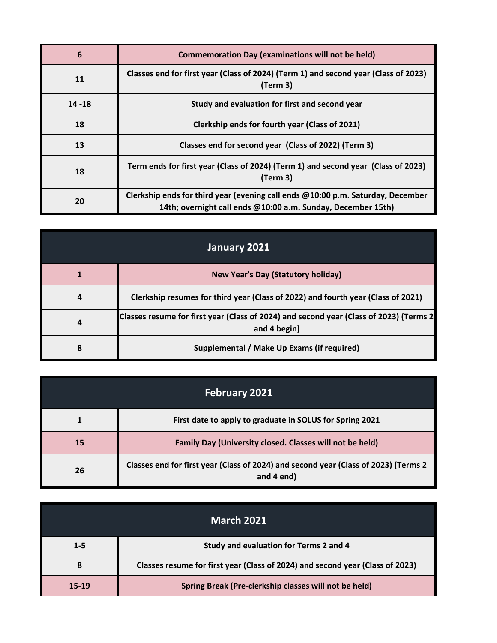| 6         | <b>Commemoration Day (examinations will not be held)</b>                                                                                        |
|-----------|-------------------------------------------------------------------------------------------------------------------------------------------------|
| 11        | Classes end for first year (Class of 2024) (Term 1) and second year (Class of 2023)<br>(Term 3)                                                 |
| $14 - 18$ | Study and evaluation for first and second year                                                                                                  |
| 18        | Clerkship ends for fourth year (Class of 2021)                                                                                                  |
| 13        | Classes end for second year (Class of 2022) (Term 3)                                                                                            |
| 18        | Term ends for first year (Class of 2024) (Term 1) and second year (Class of 2023)<br>(Term 3)                                                   |
| 20        | Clerkship ends for third year (evening call ends @10:00 p.m. Saturday, December<br>14th; overnight call ends @10:00 a.m. Sunday, December 15th) |

| January 2021 |                                                                                                        |
|--------------|--------------------------------------------------------------------------------------------------------|
|              | <b>New Year's Day (Statutory holiday)</b>                                                              |
| 4            | Clerkship resumes for third year (Class of 2022) and fourth year (Class of 2021)                       |
| 4            | Classes resume for first year (Class of 2024) and second year (Class of 2023) (Terms 2<br>and 4 begin) |
| 8            | Supplemental / Make Up Exams (if required)                                                             |

| <b>February 2021</b> |                                                                                                   |
|----------------------|---------------------------------------------------------------------------------------------------|
|                      | First date to apply to graduate in SOLUS for Spring 2021                                          |
| 15                   | Family Day (University closed. Classes will not be held)                                          |
| 26                   | Classes end for first year (Class of 2024) and second year (Class of 2023) (Terms 2<br>and 4 end) |

| <b>March 2021</b> |                                                                               |
|-------------------|-------------------------------------------------------------------------------|
| $1 - 5$           | Study and evaluation for Terms 2 and 4                                        |
| 8                 | Classes resume for first year (Class of 2024) and second year (Class of 2023) |
| 15-19             | Spring Break (Pre-clerkship classes will not be held)                         |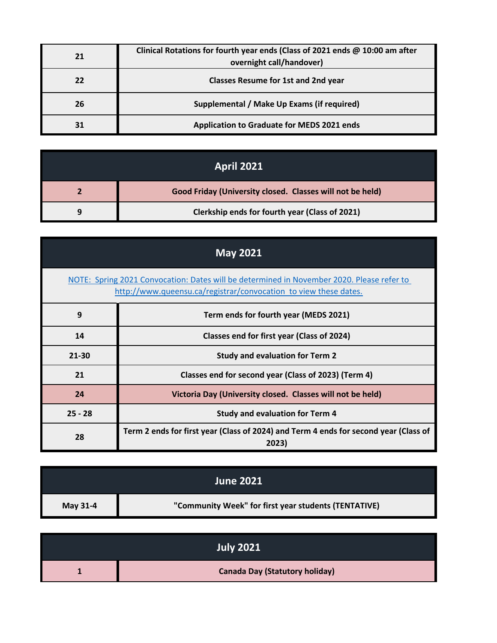| 21 | Clinical Rotations for fourth year ends (Class of 2021 ends @ 10:00 am after<br>overnight call/handover) |
|----|----------------------------------------------------------------------------------------------------------|
| 22 | <b>Classes Resume for 1st and 2nd year</b>                                                               |
| 26 | Supplemental / Make Up Exams (if required)                                                               |
|    | <b>Application to Graduate for MEDS 2021 ends</b>                                                        |

| <b>April 2021</b>                                         |
|-----------------------------------------------------------|
| Good Friday (University closed. Classes will not be held) |
| Clerkship ends for fourth year (Class of 2021)            |

| <b>May 2021</b> |                                                                                                                                                               |  |
|-----------------|---------------------------------------------------------------------------------------------------------------------------------------------------------------|--|
|                 | NOTE: Spring 2021 Convocation: Dates will be determined in November 2020. Please refer to<br>http://www.queensu.ca/registrar/convocation to view these dates. |  |
| 9               | Term ends for fourth year (MEDS 2021)                                                                                                                         |  |
| 14              | Classes end for first year (Class of 2024)                                                                                                                    |  |
| $21 - 30$       | <b>Study and evaluation for Term 2</b>                                                                                                                        |  |
| 21              | Classes end for second year (Class of 2023) (Term 4)                                                                                                          |  |
| 24              | Victoria Day (University closed. Classes will not be held)                                                                                                    |  |
| $25 - 28$       | <b>Study and evaluation for Term 4</b>                                                                                                                        |  |
| 28              | Term 2 ends for first year (Class of 2024) and Term 4 ends for second year (Class of<br>2023)                                                                 |  |

|          | <b>June 2021</b>                                     |
|----------|------------------------------------------------------|
| May 31-4 | "Community Week" for first year students (TENTATIVE) |

| <b>July 2021</b>                      |
|---------------------------------------|
| <b>Canada Day (Statutory holiday)</b> |